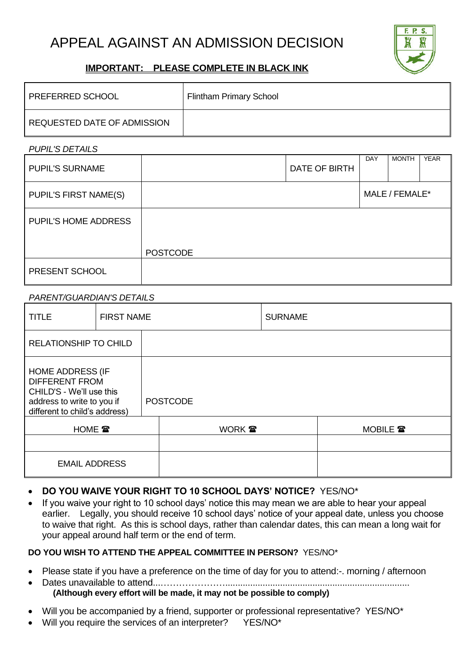# APPEAL AGAINST AN ADMISSION DECISION



### **IMPORTANT: PLEASE COMPLETE IN BLACK INK**

| <b>PREFERRED SCHOOL</b>     | <b>Flintham Primary School</b> |
|-----------------------------|--------------------------------|
| REQUESTED DATE OF ADMISSION |                                |

*PUPIL'S DETAILS*

| <b>PUPIL'S SURNAME</b>       |                 | DATE OF BIRTH | DAY | <b>MONTH</b>   | <b>YEAR</b> |
|------------------------------|-----------------|---------------|-----|----------------|-------------|
| <b>PUPIL'S FIRST NAME(S)</b> |                 |               |     | MALE / FEMALE* |             |
| <b>PUPIL'S HOME ADDRESS</b>  |                 |               |     |                |             |
|                              | <b>POSTCODE</b> |               |     |                |             |
| PRESENT SCHOOL               |                 |               |     |                |             |

#### *PARENT/GUARDIAN'S DETAILS*

| <b>TITLE</b>                                                                                                                                | <b>FIRST NAME</b> |  |                 | <b>SURNAME</b> |          |
|---------------------------------------------------------------------------------------------------------------------------------------------|-------------------|--|-----------------|----------------|----------|
| <b>RELATIONSHIP TO CHILD</b>                                                                                                                |                   |  |                 |                |          |
| <b>HOME ADDRESS (IF</b><br><b>DIFFERENT FROM</b><br>CHILD'S - We'll use this<br>address to write to you if<br>different to child's address) |                   |  | <b>POSTCODE</b> |                |          |
| <b>HOME</b> 雷                                                                                                                               |                   |  | WORK <b>雷</b>   |                | MOBILE 雷 |
|                                                                                                                                             |                   |  |                 |                |          |
| <b>EMAIL ADDRESS</b>                                                                                                                        |                   |  |                 |                |          |

#### • **DO YOU WAIVE YOUR RIGHT TO 10 SCHOOL DAYS' NOTICE?** YES/NO\*

• If you waive your right to 10 school days' notice this may mean we are able to hear your appeal earlier. Legally, you should receive 10 school days' notice of your appeal date, unless you choose to waive that right. As this is school days, rather than calendar dates, this can mean a long wait for your appeal around half term or the end of term.

#### **DO YOU WISH TO ATTEND THE APPEAL COMMITTEE IN PERSON?** YES/NO\*

- Please state if you have a preference on the time of day for you to attend:-. morning / afternoon
- Dates unavailable to attend...………………….......................................................................... **(Although every effort will be made, it may not be possible to comply)**
- Will you be accompanied by a friend, supporter or professional representative? YES/NO\*
- Will you require the services of an interpreter? YES/NO\*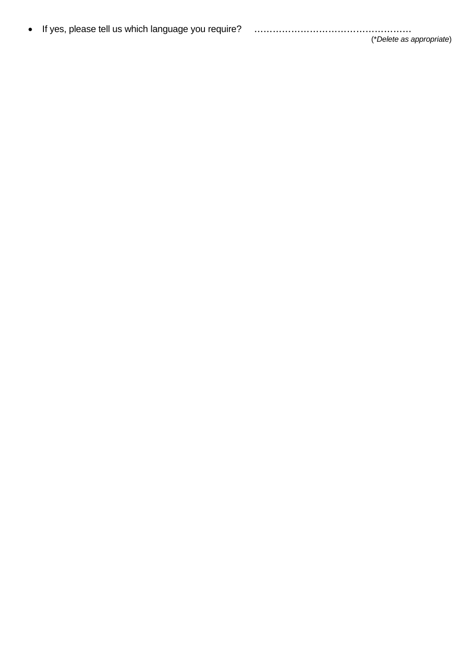| • If yes, please tell us which language you require? |  |
|------------------------------------------------------|--|
|                                                      |  |

(\**Delete as appropriate*)